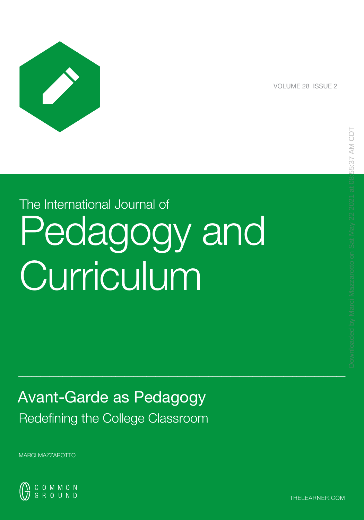

VOLUME 28 ISSUE 2

# The International Journal of Pedagogy and Curriculum

 $\mathcal{L}_\mathcal{L} = \mathcal{L}_\mathcal{L} = \mathcal{L}_\mathcal{L} = \mathcal{L}_\mathcal{L} = \mathcal{L}_\mathcal{L} = \mathcal{L}_\mathcal{L} = \mathcal{L}_\mathcal{L} = \mathcal{L}_\mathcal{L} = \mathcal{L}_\mathcal{L} = \mathcal{L}_\mathcal{L} = \mathcal{L}_\mathcal{L} = \mathcal{L}_\mathcal{L} = \mathcal{L}_\mathcal{L} = \mathcal{L}_\mathcal{L} = \mathcal{L}_\mathcal{L} = \mathcal{L}_\mathcal{L} = \mathcal{L}_\mathcal{L}$ 

Avant-Garde as Pedagogy

Redefining the College Classroom

MARCI MAZZAROTTO



THELEARNER.COM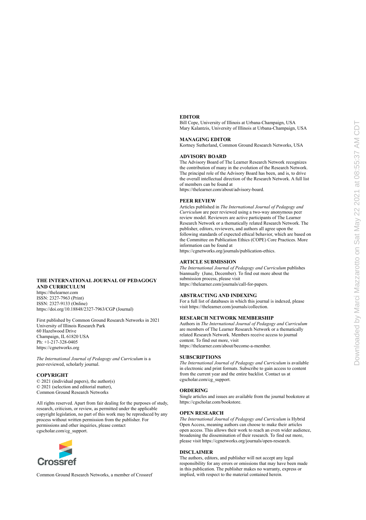#### **EDITOR**

Bill Cope, University of Illinois at Urbana-Champaign, USA Mary Kalantzis, University of Illinois at Urbana-Champaign, USA

#### **MANAGING EDITOR**

Kortney Sutherland, Common Ground Research Networks, USA

#### **ADVISORY BOARD**

The Advisory Board of The Learner Research Network recognizes the contribution of many in the evolution of the Research Network. The principal role of the Advisory Board has been, and is, to drive the overall intellectual direction of the Research Network. A full list of members can be found at

https://thelearner.com/about/advisory-board.

#### **PEER REVIEW**

Articles published in *The International Journal of Pedagogy and Curriculum* are peer reviewed using a two-way anonymous peer review model. Reviewers are active participants of The Learner Research Network or a thematically related Research Network. The publisher, editors, reviewers, and authors all agree upon the following standards of expected ethical behavior, which are based on the Committee on Publication Ethics (COPE) Core Practices. More information can be found at

<https://cgnetworks.org/journals/publication-ethics>.

#### **ARTICLE SUBMISSION**

*The International Journal of Pedagogy and Curriculum* publishes biannually (June, December). To find out more about the submission process, please visit https://thelearner.com/journals/call-for-papers.

#### **ABSTRACTING AND INDEXING**

For a full list of databases in which this journal is indexed, please visit https://thelearner.com/journals/collection.

#### **RESEARCH NETWORK MEMBERSHIP**

Authors in *The International Journal of Pedagogy and Curriculum*  are members of The Learner Research Network or a thematically related Research Network. Members receive access to journal content. To find out more, visit https://thelearner.com/about/become-a-member.

#### **SUBSCRIPTIONS**

*The International Journal of Pedagogy and Curriculum* is available in electronic and print formats. Subscribe to gain access to content from the current year and the entire backlist. Contact us at [cgscholar.com/cg\\_support.](https://cgscholar.com/cg_support/en/docs/58)

#### **ORDERING**

Single articles and issues are available from the journal bookstore at https://cgscholar.com/bookstore.

#### **OPEN RESEARCH**

*The International Journal of Pedagogy and Curriculum* is Hybrid Open Access, meaning authors can choose to make their articles open access. This allows their work to reach an even wider audience, broadening the dissemination of their research. To find out more, please visit [https://cgnetworks.org/journals/open-research.](https://cgnetworks.org/journals/open-research)

#### **DISCLAIMER**

The authors, editors, and publisher will not accept any legal responsibility for any errors or omissions that may have been made in this publication. The publisher makes no warranty, express or implied, with respect to the material contained herein.

#### **THE INTERNATIONAL JOURNAL OF PEDAGOGY AND CURRICULUM**

https://thelearner.com ISSN: 2327-7963 (Print) ISSN: 2327-9133 (Online) https://doi.org/10.18848/2327-7963/CGP (Journal)

First published by Common Ground Research Networks in 2021 University of Illinois Research Park 60 Hazelwood Drive Champaign, IL 61820 USA Ph: +1-217-328-0405 [https://cgnetworks.org](http://cgnetworks.org/)

*The International Journal of Pedagogy and Curriculum* is a peer-reviewed, scholarly journal.

#### **COPYRIGHT**

© 2021 (individual papers), the author(s) © 2021 (selection and editorial matter), Common Ground Research Networks

All rights reserved. Apart from fair dealing for the purposes of study, research, criticism, or review, as permitted under the applicable copyright legislation, no part of this work may be reproduced by any process without written permission from the publisher. For permissions and other inquiries, please contact cgscholar.com/cg\_support.



Common Ground Research Networks, a member of Crossref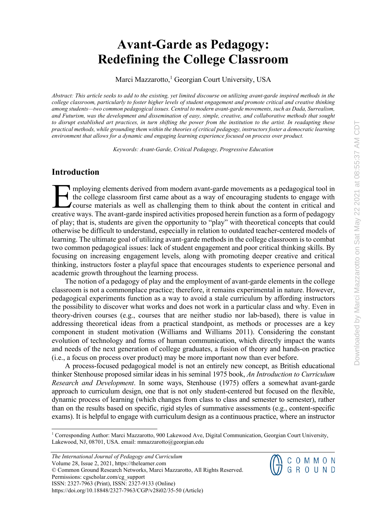## **Avant-Garde as Pedagogy: Redefining the College Classroom**

Marci Mazzarotto,<sup>1</sup> Georgian Court University, USA

*Abstract: This article seeks to add to the existing, yet limited discourse on utilizing avant-garde inspired methods in the college classroom, particularly to foster higher levels of student engagement and promote critical and creative thinking among students—two common pedagogical issues. Central to modern avant-garde movements, such as Dada, Surrealism, and Futurism, was the development and dissemination of easy, simple, creative, and collaborative methods that sought to disrupt established art practices, in turn shifting the power from the institution to the artist. In readapting these practical methods, while grounding them within the theories of critical pedagogy, instructors foster a democratic learning environment that allows for a dynamic and engaging learning experience focused on process over product.* 

*Keywords: Avant-Garde, Critical Pedagogy, Progressive Education* 

## **Introduction**

mploying elements derived from modern avant-garde movements as a pedagogical tool in the college classroom first came about as a way of encouraging students to engage with course materials as well as challenging them to think about the content in critical and Imploying elements derived from modern avant-garde movements as a pedagogical tool in the college classroom first came about as a way of encouraging students to engage with course materials as well as challenging them to t of play; that is, students are given the opportunity to "play" with theoretical concepts that could otherwise be difficult to understand, especially in relation to outdated teacher-centered models of learning. The ultimate goal of utilizing avant-garde methods in the college classroom is to combat two common pedagogical issues: lack of student engagement and poor critical thinking skills. By focusing on increasing engagement levels, along with promoting deeper creative and critical thinking, instructors foster a playful space that encourages students to experience personal and academic growth throughout the learning process.

The notion of a pedagogy of play and the employment of avant-garde elements in the college classroom is not a commonplace practice; therefore, it remains experimental in nature. However, pedagogical experiments function as a way to avoid a stale curriculum by affording instructors the possibility to discover what works and does not work in a particular class and why. Even in theory-driven courses (e.g., courses that are neither studio nor lab-based), there is value in addressing theoretical ideas from a practical standpoint, as methods or processes are a key component in student motivation (Williams and Williams 2011). Considering the constant evolution of technology and forms of human communication, which directly impact the wants and needs of the next generation of college graduates, a fusion of theory and hands-on practice (i.e., a focus on process over product) may be more important now than ever before.

A process-focused pedagogical model is not an entirely new concept, as British educational thinker Stenhouse proposed similar ideas in his seminal 1975 book, *An Introduction to Curriculum Research and Development*. In some ways, Stenhouse (1975) offers a somewhat avant-garde approach to curriculum design, one that is not only student-centered but focused on the flexible, dynamic process of learning (which changes from class to class and semester to semester), rather than on the results based on specific, rigid styles of summative assessments (e.g., content-specific exams). It is helpful to engage with curriculum design as a continuous practice, where an instructor

*The International Journal of Pedagogy and Curriculum*  Volume 28, Issue 2, 2021, https://thelearner.com © Common Ground Research Networks, Marci Mazzarotto, All Rights Reserved. Permissions[: cgscholar.com/cg\\_support](https://cgscholar.com/cg_support)  ISSN: 2327-7963 (Print), ISSN: 2327-9133 (Online) https://doi.org/10.18848/2327-7963/CGP/v28i02/35-50 (Article)



<sup>&</sup>lt;sup>1</sup> Corresponding Author: Marci Mazzarotto, 900 Lakewood Ave, Digital Communication, Georgian Court University, Lakewood, NJ, 08701, USA. email[: mmazzarotto@georgian.edu](mailto:mmazzarotto@georgian.edu)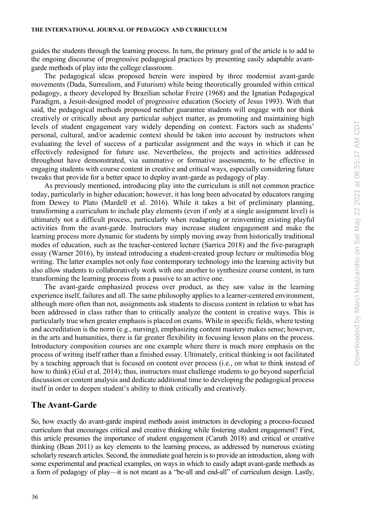guides the students through the learning process. In turn, the primary goal of the article is to add to the ongoing discourse of progressive pedagogical practices by presenting easily adaptable avantgarde methods of play into the college classroom.

The pedagogical ideas proposed herein were inspired by three modernist avant-garde movements (Dada, Surrealism, and Futurism) while being theoretically grounded within critical pedagogy, a theory developed by Brazilian scholar Freire (1968) and the Ignatian Pedagogical Paradigm, a Jesuit-designed model of progressive education (Society of Jesus 1993). With that said, the pedagogical methods proposed neither guarantee students will engage with nor think creatively or critically about any particular subject matter, as promoting and maintaining high levels of student engagement vary widely depending on context. Factors such as students' personal, cultural, and/or academic context should be taken into account by instructors when evaluating the level of success of a particular assignment and the ways in which it can be effectively redesigned for future use. Nevertheless, the projects and activities addressed throughout have demonstrated, via summative or formative assessments, to be effective in engaging students with course content in creative and critical ways, especially considering future tweaks that provide for a better space to deploy avant-garde as pedagogy of play.

As previously mentioned, introducing play into the curriculum is still not common practice today, particularly in higher education; however, it has long been advocated by educators ranging from Dewey to Plato (Mardell et al. 2016). While it takes a bit of preliminary planning, transforming a curriculum to include play elements (even if only at a single assignment level) is ultimately not a difficult process, particularly when readapting or reinventing existing playful activities from the avant-garde. Instructors may increase student engagement and make the learning process more dynamic for students by simply moving away from historically traditional modes of education, such as the teacher-centered lecture (Sarrica 2018) and the five-paragraph essay (Warner 2016), by instead introducing a student-created group lecture or multimedia blog writing. The latter examples not only fuse contemporary technology into the learning activity but also allow students to collaboratively work with one another to synthesize course content, in turn transforming the learning process from a passive to an active one.

The avant-garde emphasized process over product, as they saw value in the learning experience itself, failures and all. The same philosophy applies to a learner-centered environment, although more often than not, assignments ask students to discuss content in relation to what has been addressed in class rather than to critically analyze the content in creative ways. This is particularly true when greater emphasis is placed on exams. While in specific fields, where testing and accreditation is the norm (e.g., nursing), emphasizing content mastery makes sense; however, in the arts and humanities, there is far greater flexibility in focusing lesson plans on the process. Introductory composition courses are one example where there is much more emphasis on the process of writing itself rather than a finished essay. Ultimately, critical thinking is not facilitated by a teaching approach that is focused on content over process (i.e., on what to think instead of how to think) (Gul et al. 2014); thus, instructors must challenge students to go beyond superficial discussion or content analysis and dedicate additional time to developing the pedagogical process itself in order to deepen student's ability to think critically and creatively.

## **The Avant-Garde**

So, how exactly do avant-garde inspired methods assist instructors in developing a process-focused curriculum that encourages critical and creative thinking while fostering student engagement? First, this article presumes the importance of student engagement (Caruth 2018) and critical or creative thinking (Bean 2011) as key elements to the learning process, as addressed by numerous existing scholarly research articles. Second, the immediate goal herein isto provide an introduction, along with some experimental and practical examples, on ways in which to easily adapt avant-garde methods as a form of pedagogy of play—it is not meant as a "be-all and end-all" of curriculum design. Lastly,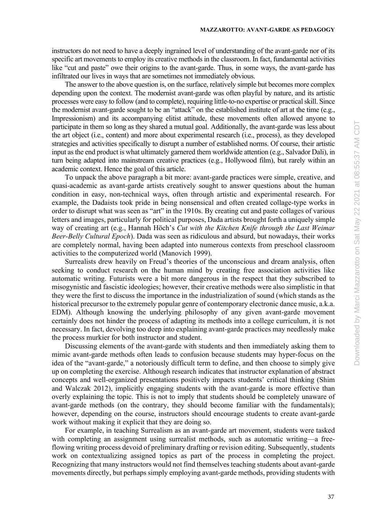instructors do not need to have a deeply ingrained level of understanding of the avant-garde nor of its specific art movements to employ its creative methods in the classroom. In fact, fundamental activities like "cut and paste" owe their origins to the avant-garde. Thus, in some ways, the avant-garde has infiltrated our lives in ways that are sometimes not immediately obvious.

The answer to the above question is, on the surface, relatively simple but becomes more complex depending upon the context. The modernist avant-garde was often playful by nature, and its artistic processes were easy to follow (and to complete), requiring little-to-no expertise or practical skill. Since the modernist avant-garde sought to be an "attack" on the established institute of art at the time (e.g., Impressionism) and its accompanying elitist attitude, these movements often allowed anyone to participate in them so long as they shared a mutual goal. Additionally, the avant-garde was less about the art object (i.e., content) and more about experimental research (i.e., process), as they developed strategies and activities specifically to disrupt a number of established norms. Of course, their artistic input as the end product is what ultimately garnered them worldwide attention (e.g., Salvador Dali), in turn being adapted into mainstream creative practices (e.g., Hollywood film), but rarely within an academic context. Hence the goal of this article.

To unpack the above paragraph a bit more: avant-garde practices were simple, creative, and quasi-academic as avant-garde artists creatively sought to answer questions about the human condition in easy, non-technical ways, often through artistic and experimental research. For example, the Dadaists took pride in being nonsensical and often created collage-type works in order to disrupt what was seen as "art" in the 1910s. By creating cut and paste collages of various letters and images, particularly for political purposes, Dada artists brought forth a uniquely simple way of creating art (e.g., Hannah Höch's *Cut with the Kitchen Knife through the Last Weimar Beer-Belly Cultural Epoch*). Dada was seen as ridiculous and absurd, but nowadays, their works are completely normal, having been adapted into numerous contexts from preschool classroom activities to the computerized world (Manovich 1999).

Surrealists drew heavily on Freud's theories of the unconscious and dream analysis, often seeking to conduct research on the human mind by creating free association activities like automatic writing. Futurists were a bit more dangerous in the respect that they subscribed to misogynistic and fascistic ideologies; however, their creative methods were also simplistic in that they were the first to discuss the importance in the industrialization of sound (which stands as the historical precursor to the extremely popular genre of contemporary electronic dance music, a.k.a. EDM). Although knowing the underlying philosophy of any given avant-garde movement certainly does not hinder the process of adapting its methods into a college curriculum, it is not necessary. In fact, devolving too deep into explaining avant-garde practices may needlessly make the process murkier for both instructor and student.

Discussing elements of the avant-garde with students and then immediately asking them to mimic avant-garde methods often leads to confusion because students may hyper-focus on the idea of the "avant-garde," a notoriously difficult term to define, and then choose to simply give up on completing the exercise. Although research indicates that instructor explanation of abstract concepts and well-organized presentations positively impacts students' critical thinking (Shim and Walczak 2012), implicitly engaging students with the avant-garde is more effective than overly explaining the topic. This is not to imply that students should be completely unaware of avant-garde methods (on the contrary, they should become familiar with the fundamentals); however, depending on the course, instructors should encourage students to create avant-garde work without making it explicit that they are doing so.

For example, in teaching Surrealism as an avant-garde art movement, students were tasked with completing an assignment using surrealist methods, such as automatic writing—a freeflowing writing process devoid of preliminary drafting or revision editing. Subsequently, students work on contextualizing assigned topics as part of the process in completing the project. Recognizing that many instructors would not find themselves teaching students about avant-garde movements directly, but perhaps simply employing avant-garde methods, providing students with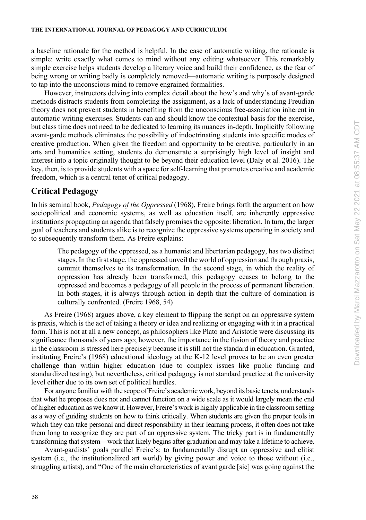a baseline rationale for the method is helpful. In the case of automatic writing, the rationale is simple: write exactly what comes to mind without any editing whatsoever. This remarkably simple exercise helps students develop a literary voice and build their confidence, as the fear of being wrong or writing badly is completely removed—automatic writing is purposely designed to tap into the unconscious mind to remove engrained formalities.

However, instructors delving into complex detail about the how's and why's of avant-garde methods distracts students from completing the assignment, as a lack of understanding Freudian theory does not prevent students in benefiting from the unconscious free-association inherent in automatic writing exercises. Students can and should know the contextual basis for the exercise, but class time does not need to be dedicated to learning its nuances in-depth. Implicitly following avant-garde methods eliminates the possibility of indoctrinating students into specific modes of creative production. When given the freedom and opportunity to be creative, particularly in an arts and humanities setting, students do demonstrate a surprisingly high level of insight and interest into a topic originally thought to be beyond their education level (Daly et al. 2016). The key, then, isto provide students with a space for self-learning that promotes creative and academic freedom, which is a central tenet of critical pedagogy.

## **Critical Pedagogy**

In his seminal book, *Pedagogy of the Oppressed* (1968), Freire brings forth the argument on how sociopolitical and economic systems, as well as education itself, are inherently oppressive institutions propagating an agenda that falsely promises the opposite: liberation. In turn, the larger goal of teachers and students alike is to recognize the oppressive systems operating in society and to subsequently transform them. As Freire explains:

The pedagogy of the oppressed, as a humanist and libertarian pedagogy, has two distinct stages. In the first stage, the oppressed unveil the world of oppression and through praxis, commit themselves to its transformation. In the second stage, in which the reality of oppression has already been transformed, this pedagogy ceases to belong to the oppressed and becomes a pedagogy of all people in the process of permanent liberation. In both stages, it is always through action in depth that the culture of domination is culturally confronted. (Freire 1968, 54)

As Freire (1968) argues above, a key element to flipping the script on an oppressive system is praxis, which is the act of taking a theory or idea and realizing or engaging with it in a practical form. This is not at all a new concept, as philosophers like Plato and Aristotle were discussing its significance thousands of years ago; however, the importance in the fusion of theory and practice in the classroom is stressed here precisely because it is still not the standard in education. Granted, instituting Freire's (1968) educational ideology at the K-12 level proves to be an even greater challenge than within higher education (due to complex issues like public funding and standardized testing), but nevertheless, critical pedagogy is not standard practice at the university level either due to its own set of political hurdles.

For anyone familiar with the scope of Freire's academic work, beyond its basic tenets, understands that what he proposes does not and cannot function on a wide scale as it would largely mean the end of higher education as we know it. However, Freire's work is highly applicable in the classroom setting as a way of guiding students on how to think critically. When students are given the proper tools in which they can take personal and direct responsibility in their learning process, it often does not take them long to recognize they are part of an oppressive system. The tricky part is in fundamentally transforming that system—work that likely begins after graduation and may take a lifetime to achieve.

Avant-gardists' goals parallel Freire's: to fundamentally disrupt an oppressive and elitist system (i.e., the institutionalized art world) by giving power and voice to those without (i.e., struggling artists), and "One of the main characteristics of avant garde [sic] was going against the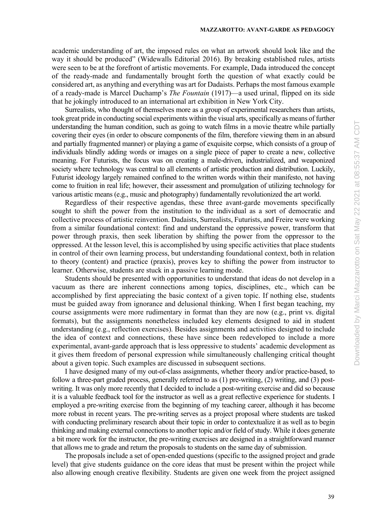academic understanding of art, the imposed rules on what an artwork should look like and the way it should be produced" (Widewalls Editorial 2016). By breaking established rules, artists were seen to be at the forefront of artistic movements. For example, Dada introduced the concept of the ready-made and fundamentally brought forth the question of what exactly could be considered art, as anything and everything was art for Dadaists. Perhaps the most famous example of a ready-made is Marcel Duchamp's *The Fountain* (1917)—a used urinal, flipped on its side that he jokingly introduced to an international art exhibition in New York City.

Surrealists, who thought of themselves more as a group of experimental researchers than artists, took great pride in conducting social experiments within the visual arts, specifically as means of further understanding the human condition, such as going to watch films in a movie theatre while partially covering their eyes (in order to obscure components of the film, therefore viewing them in an absurd and partially fragmented manner) or playing a game of exquisite corpse, which consists of a group of individuals blindly adding words or images on a single piece of paper to create a new, collective meaning. For Futurists, the focus was on creating a male-driven, industrialized, and weaponized society where technology was central to all elements of artistic production and distribution. Luckily, Futurist ideology largely remained confined to the written words within their manifesto, not having come to fruition in real life; however, their assessment and promulgation of utilizing technology for various artistic means (e.g., music and photography) fundamentally revolutionized the art world.

Regardless of their respective agendas, these three avant-garde movements specifically sought to shift the power from the institution to the individual as a sort of democratic and collective process of artistic reinvention. Dadaists, Surrealists, Futurists, and Freire were working from a similar foundational context: find and understand the oppressive power, transform that power through praxis, then seek liberation by shifting the power from the oppressor to the oppressed. At the lesson level, this is accomplished by using specific activities that place students in control of their own learning process, but understanding foundational context, both in relation to theory (content) and practice (praxis), proves key to shifting the power from instructor to learner. Otherwise, students are stuck in a passive learning mode.

Students should be presented with opportunities to understand that ideas do not develop in a vacuum as there are inherent connections among topics, disciplines, etc., which can be accomplished by first appreciating the basic context of a given topic. If nothing else, students must be guided away from ignorance and delusional thinking. When I first began teaching, my course assignments were more rudimentary in format than they are now (e.g., print vs. digital formats), but the assignments nonetheless included key elements designed to aid in student understanding (e.g., reflection exercises). Besides assignments and activities designed to include the idea of context and connections, these have since been redeveloped to include a more experimental, avant-garde approach that is less oppressive to students' academic development as it gives them freedom of personal expression while simultaneously challenging critical thought about a given topic. Such examples are discussed in subsequent sections.

I have designed many of my out-of-class assignments, whether theory and/or practice-based, to follow a three-part graded process, generally referred to as (1) pre-writing, (2) writing, and (3) postwriting. It was only more recently that I decided to include a post-writing exercise and did so because it is a valuable feedback tool for the instructor as well as a great reflective experience for students. I employed a pre-writing exercise from the beginning of my teaching career, although it has become more robust in recent years. The pre-writing serves as a project proposal where students are tasked with conducting preliminary research about their topic in order to contextualize it as well as to begin thinking and making external connections to another topic and/or field of study. While it does generate a bit more work for the instructor, the pre-writing exercises are designed in a straightforward manner that allows me to grade and return the proposals to students on the same day of submission.

The proposals include a set of open-ended questions (specific to the assigned project and grade level) that give students guidance on the core ideas that must be present within the project while also allowing enough creative flexibility. Students are given one week from the project assigned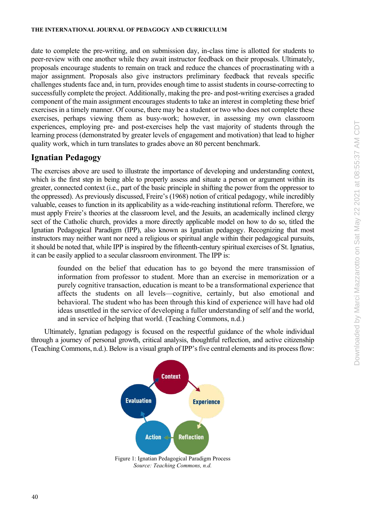date to complete the pre-writing, and on submission day, in-class time is allotted for students to peer-review with one another while they await instructor feedback on their proposals. Ultimately, proposals encourage students to remain on track and reduce the chances of procrastinating with a major assignment. Proposals also give instructors preliminary feedback that reveals specific challenges students face and, in turn, provides enough time to assist students in course-correcting to successfully complete the project. Additionally, making the pre- and post-writing exercises a graded component of the main assignment encourages students to take an interest in completing these brief exercises in a timely manner. Of course, there may be a student or two who does not complete these exercises, perhaps viewing them as busy-work; however, in assessing my own classroom experiences, employing pre- and post-exercises help the vast majority of students through the learning process (demonstrated by greater levels of engagement and motivation) that lead to higher quality work, which in turn translates to grades above an 80 percent benchmark.

## **Ignatian Pedagogy**

The exercises above are used to illustrate the importance of developing and understanding context, which is the first step in being able to properly assess and situate a person or argument within its greater, connected context (i.e., part of the basic principle in shifting the power from the oppressor to the oppressed). As previously discussed, Freire's (1968) notion of critical pedagogy, while incredibly valuable, ceases to function in its applicability as a wide-reaching institutional reform. Therefore, we must apply Freire's theories at the classroom level, and the Jesuits, an academically inclined clergy sect of the Catholic church, provides a more directly applicable model on how to do so, titled the Ignatian Pedagogical Paradigm (IPP), also known as Ignatian pedagogy. Recognizing that most instructors may neither want nor need a religious or spiritual angle within their pedagogical pursuits, it should be noted that, while IPP is inspired by the fifteenth-century spiritual exercises of St. Ignatius, it can be easily applied to a secular classroom environment. The IPP is:

founded on the belief that education has to go beyond the mere transmission of information from professor to student. More than an exercise in memorization or a purely cognitive transaction, education is meant to be a transformational experience that affects the students on all levels—cognitive, certainly, but also emotional and behavioral. The student who has been through this kind of experience will have had old ideas unsettled in the service of developing a fuller understanding of self and the world, and in service of helping that world. (Teaching Commons, n.d.)

Ultimately, Ignatian pedagogy is focused on the respectful guidance of the whole individual through a journey of personal growth, critical analysis, thoughtful reflection, and active citizenship (Teaching Commons, n.d.). Below is a visual graph of IPP's five central elements and its process flow:



*Source: Teaching Commons, n.d.*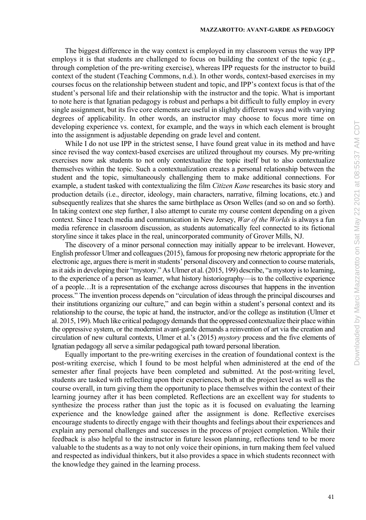The biggest difference in the way context is employed in my classroom versus the way IPP employs it is that students are challenged to focus on building the context of the topic (e.g., through completion of the pre-writing exercise), whereas IPP requests for the instructor to build context of the student (Teaching Commons, n.d.). In other words, context-based exercises in my courses focus on the relationship between student and topic, and IPP's context focus is that of the student's personal life and their relationship with the instructor and the topic. What is important to note here is that Ignatian pedagogy is robust and perhaps a bit difficult to fully employ in every single assignment, but its five core elements are useful in slightly different ways and with varying degrees of applicability. In other words, an instructor may choose to focus more time on developing experience vs. context, for example, and the ways in which each element is brought into the assignment is adjustable depending on grade level and content.

While I do not use IPP in the strictest sense, I have found great value in its method and have since revised the way context-based exercises are utilized throughout my courses. My pre-writing exercises now ask students to not only contextualize the topic itself but to also contextualize themselves within the topic. Such a contextualization creates a personal relationship between the student and the topic, simultaneously challenging them to make additional connections. For example, a student tasked with contextualizing the film *Citizen Kane* researches its basic story and production details (i.e., director, ideology, main characters, narrative, filming locations, etc.) and subsequently realizes that she shares the same birthplace as Orson Welles (and so on and so forth). In taking context one step further, I also attempt to curate my course content depending on a given context. Since I teach media and communication in New Jersey, *War of the Worlds* is always a fun media reference in classroom discussion, as students automatically feel connected to its fictional storyline since it takes place in the real, unincorporated community of Grover Mills, NJ.

The discovery of a minor personal connection may initially appear to be irrelevant. However, English professor Ulmer and colleagues (2015), famous for proposing new rhetoric appropriate for the electronic age, argues there is merit in students' personal discovery and connection to course materials, asit aids in developing their "mystory." As Ulmer et al. (2015, 199) describe, "a mystory isto learning, to the experience of a person as learner, what history historiography—is to the collective experience of a people…It is a representation of the exchange across discourses that happens in the invention process." The invention process depends on "circulation of ideas through the principal discourses and their institutions organizing our culture," and can begin within a student's personal context and its relationship to the course, the topic at hand, the instructor, and/or the college as institution (Ulmer et al. 2015, 199). Much like critical pedagogy demands that the oppressed contextualize their place within the oppressive system, or the modernist avant-garde demands a reinvention of art via the creation and circulation of new cultural contexts, Ulmer et al.'s (2015) *mystory* process and the five elements of Ignatian pedagogy all serve a similar pedagogical path toward personal liberation.

Equally important to the pre-writing exercises in the creation of foundational context is the post-writing exercise, which I found to be most helpful when administered at the end of the semester after final projects have been completed and submitted. At the post-writing level, students are tasked with reflecting upon their experiences, both at the project level as well as the course overall, in turn giving them the opportunity to place themselves within the context of their learning journey after it has been completed. Reflections are an excellent way for students to synthesize the process rather than just the topic as it is focused on evaluating the learning experience and the knowledge gained after the assignment is done. Reflective exercises encourage students to directly engage with their thoughts and feelings about their experiences and explain any personal challenges and successes in the process of project completion. While their feedback is also helpful to the instructor in future lesson planning, reflections tend to be more valuable to the students as a way to not only voice their opinions, in turn making them feel valued and respected as individual thinkers, but it also provides a space in which students reconnect with the knowledge they gained in the learning process.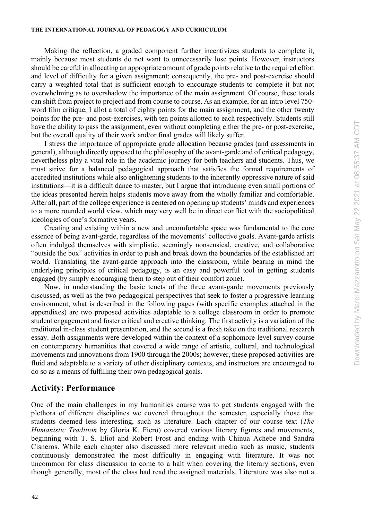Making the reflection, a graded component further incentivizes students to complete it, mainly because most students do not want to unnecessarily lose points. However, instructors should be careful in allocating an appropriate amount of grade points relative to the required effort and level of difficulty for a given assignment; consequently, the pre- and post-exercise should carry a weighted total that is sufficient enough to encourage students to complete it but not overwhelming as to overshadow the importance of the main assignment. Of course, these totals can shift from project to project and from course to course. As an example, for an intro level 750 word film critique, I allot a total of eighty points for the main assignment, and the other twenty points for the pre- and post-exercises, with ten points allotted to each respectively. Students still have the ability to pass the assignment, even without completing either the pre- or post-exercise, but the overall quality of their work and/or final grades will likely suffer.

I stress the importance of appropriate grade allocation because grades (and assessments in general), although directly opposed to the philosophy of the avant-garde and of critical pedagogy, nevertheless play a vital role in the academic journey for both teachers and students. Thus, we must strive for a balanced pedagogical approach that satisfies the formal requirements of accredited institutions while also enlightening students to the inherently oppressive nature of said institutions—it is a difficult dance to master, but I argue that introducing even small portions of the ideas presented herein helps students move away from the wholly familiar and comfortable. After all, part of the college experience is centered on opening up students' minds and experiences to a more rounded world view, which may very well be in direct conflict with the sociopolitical ideologies of one's formative years.

Creating and existing within a new and uncomfortable space was fundamental to the core essence of being avant-garde, regardless of the movements' collective goals. Avant-garde artists often indulged themselves with simplistic, seemingly nonsensical, creative, and collaborative "outside the box" activities in order to push and break down the boundaries of the established art world. Translating the avant-garde approach into the classroom, while bearing in mind the underlying principles of critical pedagogy, is an easy and powerful tool in getting students engaged (by simply encouraging them to step out of their comfort zone).

Now, in understanding the basic tenets of the three avant-garde movements previously discussed, as well as the two pedagogical perspectives that seek to foster a progressive learning environment, what is described in the following pages (with specific examples attached in the appendixes) are two proposed activities adaptable to a college classroom in order to promote student engagement and foster critical and creative thinking. The first activity is a variation of the traditional in-class student presentation, and the second is a fresh take on the traditional research essay. Both assignments were developed within the context of a sophomore-level survey course on contemporary humanities that covered a wide range of artistic, cultural, and technological movements and innovations from 1900 through the 2000s; however, these proposed activities are fluid and adaptable to a variety of other disciplinary contexts, and instructors are encouraged to do so as a means of fulfilling their own pedagogical goals.

## **Activity: Performance**

One of the main challenges in my humanities course was to get students engaged with the plethora of different disciplines we covered throughout the semester, especially those that students deemed less interesting, such as literature. Each chapter of our course text (*The Humanistic Tradition* by Gloria K. Fiero) covered various literary figures and movements, beginning with T. S. Eliot and Robert Frost and ending with Chinua Achebe and Sandra Cisneros. While each chapter also discussed more relevant media such as music, students continuously demonstrated the most difficulty in engaging with literature. It was not uncommon for class discussion to come to a halt when covering the literary sections, even though generally, most of the class had read the assigned materials. Literature was also not a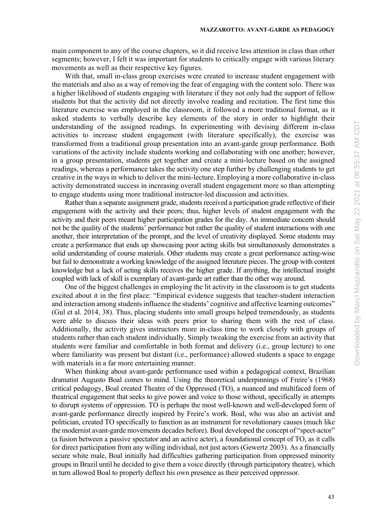main component to any of the course chapters, so it did receive less attention in class than other segments; however, I felt it was important for students to critically engage with various literary movements as well as their respective key figures.

With that, small in-class group exercises were created to increase student engagement with the materials and also as a way of removing the fear of engaging with the content solo. There was a higher likelihood of students engaging with literature if they not only had the support of fellow students but that the activity did not directly involve reading and recitation. The first time this literature exercise was employed in the classroom, it followed a more traditional format, as it asked students to verbally describe key elements of the story in order to highlight their understanding of the assigned readings. In experimenting with devising different in-class activities to increase student engagement (with literature specifically), the exercise was transformed from a traditional group presentation into an avant-garde group performance. Both variations of the activity include students working and collaborating with one another; however, in a group presentation, students get together and create a mini-lecture based on the assigned readings, whereas a performance takes the activity one step further by challenging students to get creative in the ways in which to deliver the mini-lecture. Employing a more collaborative in-class activity demonstrated success in increasing overall student engagement more so than attempting to engage students using more traditional instructor-led discussion and activities.

Rather than a separate assignment grade, students received a participation grade reflective of their engagement with the activity and their peers; thus, higher levels of student engagement with the activity and their peers meant higher participation grades for the day. An immediate concern should not be the quality of the students' performance but rather the quality of student interactions with one another, their interpretation of the prompt, and the level of creativity displayed. Some students may create a performance that ends up showcasing poor acting skills but simultaneously demonstrates a solid understanding of course materials. Other students may create a great performance acting-wise but fail to demonstrate a working knowledge of the assigned literature pieces. The group with content knowledge but a lack of acting skills receives the higher grade. If anything, the intellectual insight coupled with lack of skill is exemplary of avant-garde art rather than the other way around.

One of the biggest challenges in employing the lit activity in the classroom is to get students excited about it in the first place: "Empirical evidence suggests that teacher-student interaction and interaction among students influence the students' cognitive and affective learning outcomes" (Gul et al. 2014, 38). Thus, placing students into small groups helped tremendously, as students were able to discuss their ideas with peers prior to sharing them with the rest of class. Additionally, the activity gives instructors more in-class time to work closely with groups of students rather than each student individually. Simply tweaking the exercise from an activity that students were familiar and comfortable in both format and delivery (i.e., group lecture) to one where familiarity was present but distant (i.e., performance) allowed students a space to engage with materials in a far more entertaining manner.

When thinking about avant-garde performance used within a pedagogical context, Brazilian dramatist Augusto Boal comes to mind. Using the theoretical underpinnings of Freire's (1968) critical pedagogy, Boal created Theatre of the Oppressed (TO), a nuanced and multifaced form of theatrical engagement that seeks to give power and voice to those without, specifically in attempts to disrupt systems of oppression. TO is perhaps the most well-known and well-developed form of avant-garde performance directly inspired by Freire's work. Boal, who was also an activist and politician, created TO specifically to function as an instrument for revolutionary causes (much like the modernist avant-garde movements decades before). Boal developed the concept of "spect-actor" (a fusion between a passive spectator and an active actor), a foundational concept of TO, as it calls for direct participation from any willing individual, not just actors (Gewertz 2003). As a financially secure white male, Boal initially had difficulties gathering participation from oppressed minority groups in Brazil until he decided to give them a voice directly (through participatory theatre), which in turn allowed Boal to properly deflect his own presence as their perceived oppressor.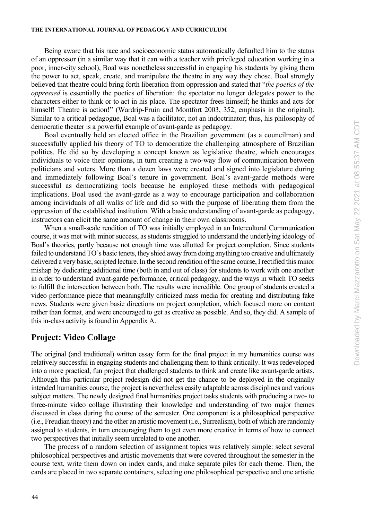Being aware that his race and socioeconomic status automatically defaulted him to the status of an oppressor (in a similar way that it can with a teacher with privileged education working in a poor, inner-city school), Boal was nonetheless successful in engaging his students by giving them the power to act, speak, create, and manipulate the theatre in any way they chose. Boal strongly believed that theatre could bring forth liberation from oppression and stated that "*the poetics of the oppressed* is essentially the poetics of liberation: the spectator no longer delegates power to the characters either to think or to act in his place. The spectator frees himself; he thinks and acts for himself! Theatre is action!" (Wardrip-Fruin and Montfort 2003, 352, emphasis in the original). Similar to a critical pedagogue, Boal was a facilitator, not an indoctrinator; thus, his philosophy of democratic theater is a powerful example of avant-garde as pedagogy.

Boal eventually held an elected office in the Brazilian government (as a councilman) and successfully applied his theory of TO to democratize the challenging atmosphere of Brazilian politics. He did so by developing a concept known as legislative theatre, which encourages individuals to voice their opinions, in turn creating a two-way flow of communication between politicians and voters. More than a dozen laws were created and signed into legislature during and immediately following Boal's tenure in government. Boal's avant-garde methods were successful as democratizing tools because he employed these methods with pedagogical implications. Boal used the avant-garde as a way to encourage participation and collaboration among individuals of all walks of life and did so with the purpose of liberating them from the oppression of the established institution. With a basic understanding of avant-garde as pedagogy, instructors can elicit the same amount of change in their own classrooms.

When a small-scale rendition of TO was initially employed in an Intercultural Communication course, it was met with minor success, as students struggled to understand the underlying ideology of Boal's theories, partly because not enough time was allotted for project completion. Since students failed to understand TO's basic tenets, they shied away from doing anything too creative and ultimately delivered a very basic, scripted lecture. In the second rendition of the same course, I rectified this minor mishap by dedicating additional time (both in and out of class) for students to work with one another in order to understand avant-garde performance, critical pedagogy, and the ways in which TO seeks to fulfill the intersection between both. The results were incredible. One group of students created a video performance piece that meaningfully criticized mass media for creating and distributing fake news. Students were given basic directions on project completion, which focused more on content rather than format, and were encouraged to get as creative as possible. And so, they did. A sample of this in-class activity is found in Appendix A.

## **Project: Video Collage**

The original (and traditional) written essay form for the final project in my humanities course was relatively successful in engaging students and challenging them to think critically. It was redeveloped into a more practical, fun project that challenged students to think and create like avant-garde artists. Although this particular project redesign did not get the chance to be deployed in the originally intended humanities course, the project is nevertheless easily adaptable across disciplines and various subject matters. The newly designed final humanities project tasks students with producing a two- to three-minute video collage illustrating their knowledge and understanding of two major themes discussed in class during the course of the semester. One component is a philosophical perspective (i.e., Freudian theory) and the other an artistic movement (i.e., Surrealism), both of which are randomly assigned to students, in turn encouraging them to get even more creative in terms of how to connect two perspectives that initially seem unrelated to one another.

The process of a random selection of assignment topics was relatively simple: select several philosophical perspectives and artistic movements that were covered throughout the semester in the course text, write them down on index cards, and make separate piles for each theme. Then, the cards are placed in two separate containers, selecting one philosophical perspective and one artistic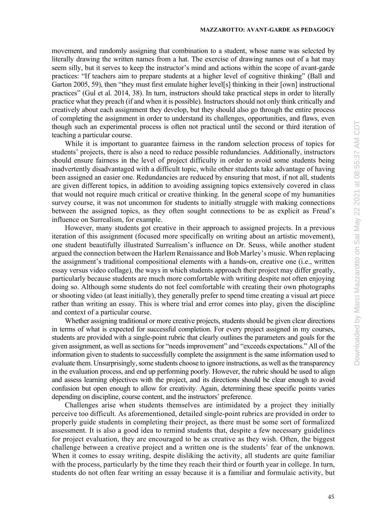movement, and randomly assigning that combination to a student, whose name was selected by literally drawing the written names from a hat. The exercise of drawing names out of a hat may seem silly, but it serves to keep the instructor's mind and actions within the scope of avant-garde practices: "If teachers aim to prepare students at a higher level of cognitive thinking" (Ball and Garton 2005, 59), then "they must first emulate higher level[s] thinking in their [own] instructional practices" (Gul et al. 2014, 38). In turn, instructors should take practical steps in order to literally practice what they preach (if and when it is possible). Instructors should not only think critically and creatively about each assignment they develop, but they should also go through the entire process of completing the assignment in order to understand its challenges, opportunities, and flaws, even though such an experimental process is often not practical until the second or third iteration of teaching a particular course.

While it is important to guarantee fairness in the random selection process of topics for students' projects, there is also a need to reduce possible redundancies. Additionally, instructors should ensure fairness in the level of project difficulty in order to avoid some students being inadvertently disadvantaged with a difficult topic, while other students take advantage of having been assigned an easier one. Redundancies are reduced by ensuring that most, if not all, students are given different topics, in addition to avoiding assigning topics extensively covered in class that would not require much critical or creative thinking. In the general scope of my humanities survey course, it was not uncommon for students to initially struggle with making connections between the assigned topics, as they often sought connections to be as explicit as Freud's influence on Surrealism, for example.

However, many students got creative in their approach to assigned projects. In a previous iteration of this assignment (focused more specifically on writing about an artistic movement), one student beautifully illustrated Surrealism's influence on Dr. Seuss, while another student argued the connection between the Harlem Renaissance and Bob Marley's music. When replacing the assignment's traditional compositional elements with a hands-on, creative one (i.e., written essay versus video collage), the ways in which students approach their project may differ greatly, particularly because students are much more comfortable with writing despite not often enjoying doing so. Although some students do not feel comfortable with creating their own photographs or shooting video (at least initially), they generally prefer to spend time creating a visual art piece rather than writing an essay. This is where trial and error comes into play, given the discipline and context of a particular course.

Whether assigning traditional or more creative projects, students should be given clear directions in terms of what is expected for successful completion. For every project assigned in my courses, students are provided with a single-point rubric that clearly outlines the parameters and goals for the given assignment, as well as sections for "needs improvement" and "exceeds expectations." All of the information given to students to successfully complete the assignment is the same information used to evaluate them. Unsurprisingly, some students choose to ignore instructions, as well as the transparency in the evaluation process, and end up performing poorly. However, the rubric should be used to align and assess learning objectives with the project, and its directions should be clear enough to avoid confusion but open enough to allow for creativity. Again, determining these specific points varies depending on discipline, course content, and the instructors' preference.

Challenges arise when students themselves are intimidated by a project they initially perceive too difficult. As aforementioned, detailed single-point rubrics are provided in order to properly guide students in completing their project, as there must be some sort of formalized assessment. It is also a good idea to remind students that, despite a few necessary guidelines for project evaluation, they are encouraged to be as creative as they wish. Often, the biggest challenge between a creative project and a written one is the students' fear of the unknown. When it comes to essay writing, despite disliking the activity, all students are quite familiar with the process, particularly by the time they reach their third or fourth year in college. In turn, students do not often fear writing an essay because it is a familiar and formulaic activity, but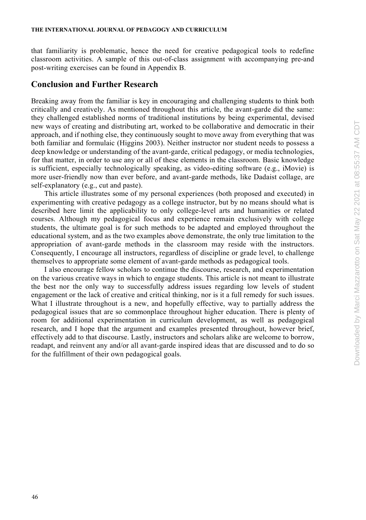that familiarity is problematic, hence the need for creative pedagogical tools to redefine classroom activities. A sample of this out-of-class assignment with accompanying pre-and post-writing exercises can be found in Appendix B.

## **Conclusion and Further Research**

Breaking away from the familiar is key in encouraging and challenging students to think both critically and creatively. As mentioned throughout this article, the avant-garde did the same: they challenged established norms of traditional institutions by being experimental, devised new ways of creating and distributing art, worked to be collaborative and democratic in their approach, and if nothing else, they continuously sought to move away from everything that was both familiar and formulaic (Higgins 2003). Neither instructor nor student needs to possess a deep knowledge or understanding of the avant-garde, critical pedagogy, or media technologies, for that matter, in order to use any or all of these elements in the classroom. Basic knowledge is sufficient, especially technologically speaking, as video-editing software (e.g., iMovie) is more user-friendly now than ever before, and avant-garde methods, like Dadaist collage, are self-explanatory (e.g., cut and paste).

This article illustrates some of my personal experiences (both proposed and executed) in experimenting with creative pedagogy as a college instructor, but by no means should what is described here limit the applicability to only college-level arts and humanities or related courses. Although my pedagogical focus and experience remain exclusively with college students, the ultimate goal is for such methods to be adapted and employed throughout the educational system, and as the two examples above demonstrate, the only true limitation to the appropriation of avant-garde methods in the classroom may reside with the instructors. Consequently, I encourage all instructors, regardless of discipline or grade level, to challenge themselves to appropriate some element of avant-garde methods as pedagogical tools.

I also encourage fellow scholars to continue the discourse, research, and experimentation on the various creative ways in which to engage students. This article is not meant to illustrate the best nor the only way to successfully address issues regarding low levels of student engagement or the lack of creative and critical thinking, nor is it a full remedy for such issues. What I illustrate throughout is a new, and hopefully effective, way to partially address the pedagogical issues that are so commonplace throughout higher education. There is plenty of room for additional experimentation in curriculum development, as well as pedagogical research, and I hope that the argument and examples presented throughout, however brief, effectively add to that discourse. Lastly, instructors and scholars alike are welcome to borrow, readapt, and reinvent any and/or all avant-garde inspired ideas that are discussed and to do so for the fulfillment of their own pedagogical goals.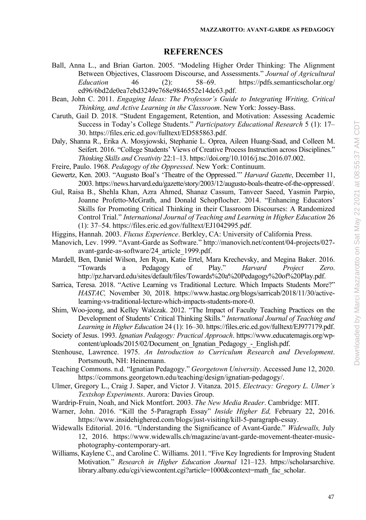## **REFERENCES**

- Ball, Anna L., and Brian Garton. 2005. "Modeling Higher Order Thinking: The Alignment Between Objectives, Classroom Discourse, and Assessments." *Journal of Agricultural Education* 46 (2): 58–69. [https://pdfs.semanticscholar.org/](https://pdfs.semanticscholar.org/ed96/6bd2de0ea7ebd3249e768e9846552e14dc63.pdf)  [ed96/6bd2de0ea7ebd3249e768e9846552e14dc63.pdf.](https://pdfs.semanticscholar.org/ed96/6bd2de0ea7ebd3249e768e9846552e14dc63.pdf)
- Bean, John C. 2011. *Engaging Ideas: The Professor's Guide to Integrating Writing, Critical Thinking, and Active Learning in the Classroom*. New York: Jossey-Bass.
- Caruth, Gail D. 2018. "Student Engagement, Retention, and Motivation: Assessing Academic Success in Today's College Students." *Participatory Educational Research* 5 (1): 17– 30[. https://files.eric.ed.gov/fulltext/ED585863.pdf.](https://files.eric.ed.gov/fulltext/ED585863.pdf)
- Daly, Shanna R., Erika A. Mosyjowski, Stephanie L. Oprea, Aileen Huang-Saad, and Colleen M. Seifert. 2016. "College Students' Views of Creative Process Instruction across Disciplines." *Thinking Skills and Creativity* 22:1–13[. https://doi.org/10.1016/j.tsc.2016.07.002.](https://doi.org/10.1016/j.tsc.2016.07.002)
- Freire, Paulo. 1968. *Pedagogy of the Oppressed*. New York: Continuum.
- Gewertz, Ken. 2003. "Augusto Boal's 'Theatre of the Oppressed.'" *Harvard Gazette*, December 11, 2003. https://news.harvard.edu/gazette/story/2003/12/augusto-boals-theatre-of-the-oppressed/.
- Gul, Raisa B., Shehla Khan, Azra Ahmed, Shanaz Cassum, Tanveer Saeed, Yasmin Parpio, Joanne Profetto-McGrath, and Donald Schopflocher. 2014. "Enhancing Educators' Skills for Promoting Critical Thinking in their Classroom Discourses: A Randomized Control Trial." *International Journal of Teaching and Learning in Higher Education* 26 (1): 37–54[. https://files.eric.ed.gov/fulltext/EJ1042995.pdf.](https://files.eric.ed.gov/fulltext/EJ1042995.pdf)
- Higgins, Hannah. 2003. *Fluxus Experience*. Berkley, CA: University of California Press.
- Manovich, Lev. 1999. "Avant-Garde as Software." [http://manovich.net/content/04-projects/027](ttp://manovich.net/content/04-projects/027-avant-garde-as-s) [avant-garde-as-so](ttp://manovich.net/content/04-projects/027-avant-garde-as-s)ftware/24\_article\_1999.pdf.
- Mardell, Ben, Daniel Wilson, Jen Ryan, Katie Ertel, Mara Krechevsky, and Megina Baker. 2016. "Towards a Pedagogy of Play." *Harvard Project Zero*. [http://pz.harvard.edu/sites/default/files/Towards%20a%20Pedagogy%20of%20Play.pdf.](http://pz.harvard.edu/sites/default/files/Towards%20a%20Pedagogy%20of%20Play.pdf)
- Sarrica, Teresa. 2018. "Active Learning vs Traditional Lecture. Which Impacts Students More?" *HASTAC,* November 30, 2018. [https://www.hastac.org/blogs/sarricab/2018/11/30/active](https://www.hastac.org/blogs/sarricab/2018/11/30/active-learning-vs-traditional-lecture-which-impacts-students-more-0)[learning-vs-traditional-lecture-which-impacts-students-more-0.](https://www.hastac.org/blogs/sarricab/2018/11/30/active-learning-vs-traditional-lecture-which-impacts-students-more-0)
- Shim, Woo-jeong, and Kelley Walczak. 2012. "The Impact of Faculty Teaching Practices on the Development of Students' Critical Thinking Skills." *International Journal of Teaching and Learning in Higher Education* 24 (1): 16–30[. https://files.eric.ed.gov/fulltext/EJ977179.pdf.](https://files.eric.ed.gov/fulltext/EJ977179.pdf)
- Society of Jesus. 1993. *Ignatian Pedagogy: Practical Approach*. https://www.educatemagis.org/wpcontent/uploads/2015/02/Document\_on\_Ignatian\_Pedagogy\_-\_English.pdf.
- Stenhouse, Lawrence. 1975. *An Introduction to Curriculum Research and Development*. Portsmouth, NH: Heinemann.
- Teaching Commons. n.d. "Ignatian Pedagogy." *Georgetown University*. Accessed June 12, 2020. [https://commons.georgetown.edu/teaching/design/ignatian-pedagogy/.](https://commons.georgetown.edu/teaching/design/ignatian-pedagogy/)
- Ulmer, Gregory L., Craig J. Saper, and Victor J. Vitanza. 2015. *Electracy: Gregory L. Ulmer's Textshop Experiments*. Aurora: Davies Group.
- Wardrip-Fruin, Noah, and Nick Montfort. 2003. *The New Media Reader*. Cambridge: MIT.
- Warner, John. 2016. "Kill the 5-Paragraph Essay" *Inside Higher Ed,* February 22, 2016. [https://www.insidehighered.com/blogs/just-visiting/kill-5-paragraph-essay.](https://www.insidehighered.com/blogs/just-visiting/kill-5-paragraph-essay)
- Widewalls Editorial. 2016. "Understanding the Significance of Avant-Garde." *Widewalls,* July 12, 2016. [https://www.widewalls.ch/magazine/avant-garde-movement-theater-music](ttps://www.widewalls.ch/magazine/avant-garde-movement-theater-music-p)[ph](ttps://www.widewalls.ch/magazine/avant-garde-movement-theater-music-p)otography-contemporary-art.
- Williams, Kaylene C., and Caroline C. Williams. 2011. "Five Key Ingredients for Improving Student Motivation*.*" *Research in Higher Education Journal* 121–123. [https://scholarsarchive.](https://scholarsarchive.library.albany.edu/cgi/viewcontent.cgi?article=1000&context=)  [library.albany.edu/cgi/viewcontent.cgi?article=1000&context=m](https://scholarsarchive.library.albany.edu/cgi/viewcontent.cgi?article=1000&context=)ath\_fac\_scholar.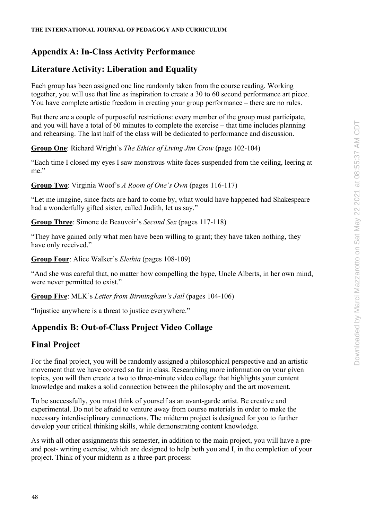## **Appendix A: In-Class Activity Performance**

## **Literature Activity: Liberation and Equality**

Each group has been assigned one line randomly taken from the course reading. Working together, you will use that line as inspiration to create a 30 to 60 second performance art piece. You have complete artistic freedom in creating your group performance – there are no rules.

But there are a couple of purposeful restrictions: every member of the group must participate, and you will have a total of 60 minutes to complete the exercise – that time includes planning and rehearsing. The last half of the class will be dedicated to performance and discussion.

**Group One**: Richard Wright's *The Ethics of Living Jim Crow* (page 102-104)

"Each time I closed my eyes I saw monstrous white faces suspended from the ceiling, leering at me"

**Group Two**: Virginia Woof's *A Room of One's Own* (pages 116-117)

"Let me imagine, since facts are hard to come by, what would have happened had Shakespeare had a wonderfully gifted sister, called Judith, let us say."

**Group Three**: Simone de Beauvoir's *Second Sex* (pages 117-118)

"They have gained only what men have been willing to grant; they have taken nothing, they have only received."

**Group Four**: Alice Walker's *Elethia* (pages 108-109)

"And she was careful that, no matter how compelling the hype, Uncle Alberts, in her own mind, were never permitted to exist."

**Group Five**: MLK's *Letter from Birmingham's Jail* (pages 104-106)

"Injustice anywhere is a threat to justice everywhere."

## **Appendix B: Out-of-Class Project Video Collage**

## **Final Project**

For the final project, you will be randomly assigned a philosophical perspective and an artistic movement that we have covered so far in class. Researching more information on your given topics, you will then create a two to three-minute video collage that highlights your content knowledge and makes a solid connection between the philosophy and the art movement.

To be successfully, you must think of yourself as an avant-garde artist. Be creative and experimental. Do not be afraid to venture away from course materials in order to make the necessary interdisciplinary connections. The midterm project is designed for you to further develop your critical thinking skills, while demonstrating content knowledge.

As with all other assignments this semester, in addition to the main project, you will have a preand post- writing exercise, which are designed to help both you and I, in the completion of your project. Think of your midterm as a three-part process: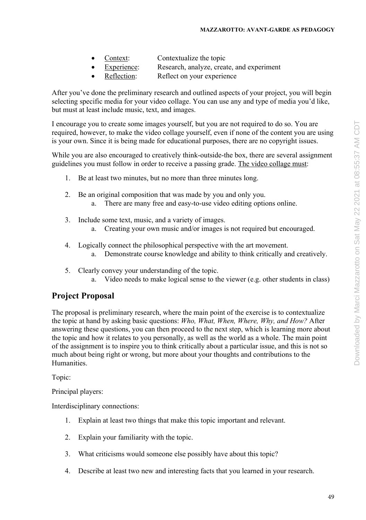- Context: Contextualize the topic
- Experience: Research, analyze, create, and experiment
- Reflection: Reflect on your experience

After you've done the preliminary research and outlined aspects of your project, you will begin selecting specific media for your video collage. You can use any and type of media you'd like, but must at least include music, text, and images.

I encourage you to create some images yourself, but you are not required to do so. You are required, however, to make the video collage yourself, even if none of the content you are using is your own. Since it is being made for educational purposes, there are no copyright issues.

While you are also encouraged to creatively think-outside-the box, there are several assignment guidelines you must follow in order to receive a passing grade. The video collage must:

- 1. Be at least two minutes, but no more than three minutes long.
- 2. Be an original composition that was made by you and only you. a. There are many free and easy-to-use video editing options online.
- 3. Include some text, music, and a variety of images.
	- a. Creating your own music and/or images is not required but encouraged.
- 4. Logically connect the philosophical perspective with the art movement. a. Demonstrate course knowledge and ability to think critically and creatively.
- 5. Clearly convey your understanding of the topic. a. Video needs to make logical sense to the viewer (e.g. other students in class)

## **Project Proposal**

The proposal is preliminary research, where the main point of the exercise is to contextualize the topic at hand by asking basic questions: *Who, What, When, Where, Why, and How?* After answering these questions, you can then proceed to the next step, which is learning more about the topic and how it relates to you personally, as well as the world as a whole. The main point of the assignment is to inspire you to think critically about a particular issue, and this is not so much about being right or wrong, but more about your thoughts and contributions to the Humanities.

Topic:

Principal players:

Interdisciplinary connections:

- 1. Explain at least two things that make this topic important and relevant.
- 2. Explain your familiarity with the topic.
- 3. What criticisms would someone else possibly have about this topic?
- 4. Describe at least two new and interesting facts that you learned in your research.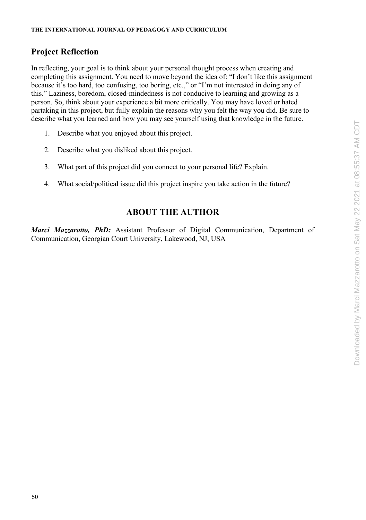## **Project Reflection**

In reflecting, your goal is to think about your personal thought process when creating and completing this assignment. You need to move beyond the idea of: "I don't like this assignment because it's too hard, too confusing, too boring, etc.," or "I'm not interested in doing any of this." Laziness, boredom, closed-mindedness is not conducive to learning and growing as a person. So, think about your experience a bit more critically. You may have loved or hated partaking in this project, but fully explain the reasons why you felt the way you did. Be sure to describe what you learned and how you may see yourself using that knowledge in the future.

- 1. Describe what you enjoyed about this project.
- 2. Describe what you disliked about this project.
- 3. What part of this project did you connect to your personal life? Explain.
- 4. What social/political issue did this project inspire you take action in the future?

## **ABOUT THE AUTHOR**

*Marci Mazzarotto, PhD:* Assistant Professor of Digital Communication, Department of Communication, Georgian Court University, Lakewood, NJ, USA